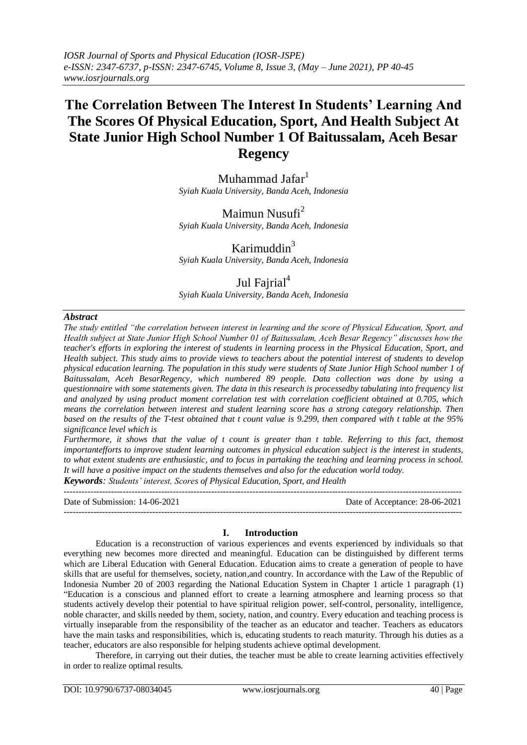# **The Correlation Between The Interest In Students' Learning And The Scores Of Physical Education, Sport, And Health Subject At State Junior High School Number 1 Of Baitussalam, Aceh Besar Regency**

Muhammad Jafar<sup>1</sup> *Syiah Kuala University, Banda Aceh, Indonesia*

# Maimun Nusufi $2$

*Syiah Kuala University, Banda Aceh, Indonesia*

### Karimuddin $3$

*Syiah Kuala University, Banda Aceh, Indonesia*

# Jul Fajrial<sup>4</sup>

*Syiah Kuala University, Banda Aceh, Indonesia*

### *Abstract*

*The study entitled "the correlation between interest in learning and the score of Physical Education, Sport, and Health subject at State Junior High School Number 01 of Baitussalam, Aceh Besar Regency" discusses how the teacher's efforts in exploring the interest of students in learning process in the Physical Education, Sport, and Health subject. This study aims to provide views to teachers about the potential interest of students to develop physical education learning. The population in this study were students of State Junior High School number 1 of Baitussalam, Aceh BesarRegency, which numbered 89 people. Data collection was done by using a questionnaire with some statements given. The data in this research is processedby tabulating into frequency list and analyzed by using product moment correlation test with correlation coefficient obtained at 0.705, which means the correlation between interest and student learning score has a strong category relationship. Then based on the results of the T-test obtained that t count value is 9.299, then compared with t table at the 95% significance level which is* 

*Furthermore, it shows that the value of t count is greater than t table. Referring to this fact, themost importantefforts to improve student learning outcomes in physical education subject is the interest in students, to what extent students are enthusiastic, and to focus in partaking the teaching and learning process in school. It will have a positive impact on the students themselves and also for the education world today.*

*Keywords: Students' interest, Scores of Physical Education, Sport, and Health*  $-1.1$ 

Date of Submission: 14-06-2021 Date of Acceptance: 28-06-2021

### **I. Introduction**

---------------------------------------------------------------------------------------------------------------------------------------

Education is a reconstruction of various experiences and events experienced by individuals so that everything new becomes more directed and meaningful. Education can be distinguished by different terms which are Liberal Education with General Education. Education aims to create a generation of people to have skills that are useful for themselves, society, nation,and country. In accordance with the Law of the Republic of Indonesia Number 20 of 2003 regarding the National Education System in Chapter 1 article 1 paragraph (1) "Education is a conscious and planned effort to create a learning atmosphere and learning process so that students actively develop their potential to have spiritual religion power, self-control, personality, intelligence, noble character, and skills needed by them, society, nation, and country. Every education and teaching process is virtually inseparable from the responsibility of the teacher as an educator and teacher. Teachers as educators have the main tasks and responsibilities, which is, educating students to reach maturity. Through his duties as a teacher, educators are also responsible for helping students achieve optimal development.

Therefore, in carrying out their duties, the teacher must be able to create learning activities effectively in order to realize optimal results.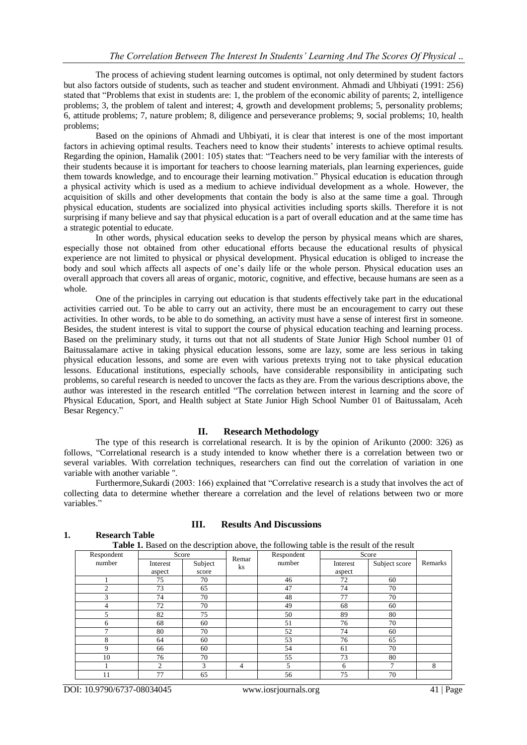The process of achieving student learning outcomes is optimal, not only determined by student factors but also factors outside of students, such as teacher and student environment. Ahmadi and Uhbiyati (1991: 256) stated that "Problems that exist in students are: 1, the problem of the economic ability of parents; 2, intelligence problems; 3, the problem of talent and interest; 4, growth and development problems; 5, personality problems; 6, attitude problems; 7, nature problem; 8, diligence and perseverance problems; 9, social problems; 10, health problems;

Based on the opinions of Ahmadi and Uhbiyati, it is clear that interest is one of the most important factors in achieving optimal results. Teachers need to know their students' interests to achieve optimal results. Regarding the opinion, Hamalik (2001: 105) states that: "Teachers need to be very familiar with the interests of their students because it is important for teachers to choose learning materials, plan learning experiences, guide them towards knowledge, and to encourage their learning motivation." Physical education is education through a physical activity which is used as a medium to achieve individual development as a whole. However, the acquisition of skills and other developments that contain the body is also at the same time a goal. Through physical education, students are socialized into physical activities including sports skills. Therefore it is not surprising if many believe and say that physical education is a part of overall education and at the same time has a strategic potential to educate.

In other words, physical education seeks to develop the person by physical means which are shares, especially those not obtained from other educational efforts because the educational results of physical experience are not limited to physical or physical development. Physical education is obliged to increase the body and soul which affects all aspects of one's daily life or the whole person. Physical education uses an overall approach that covers all areas of organic, motoric, cognitive, and effective, because humans are seen as a whole.

One of the principles in carrying out education is that students effectively take part in the educational activities carried out. To be able to carry out an activity, there must be an encouragement to carry out these activities. In other words, to be able to do something, an activity must have a sense of interest first in someone. Besides, the student interest is vital to support the course of physical education teaching and learning process. Based on the preliminary study, it turns out that not all students of State Junior High School number 01 of Baitussalamare active in taking physical education lessons, some are lazy, some are less serious in taking physical education lessons, and some are even with various pretexts trying not to take physical education lessons. Educational institutions, especially schools, have considerable responsibility in anticipating such problems, so careful research is needed to uncover the facts as they are. From the various descriptions above, the author was interested in the research entitled "The correlation between interest in learning and the score of Physical Education, Sport, and Health subject at State Junior High School Number 01 of Baitussalam, Aceh Besar Regency."

### **II. Research Methodology**

The type of this research is correlational research. It is by the opinion of Arikunto (2000: 326) as follows, "Correlational research is a study intended to know whether there is a correlation between two or several variables. With correlation techniques, researchers can find out the correlation of variation in one variable with another variable ".

Furthermore,Sukardi (2003: 166) explained that "Correlative research is a study that involves the act of collecting data to determine whether thereare a correlation and the level of relations between two or more variables.'

| <b>Table 1.</b> Based on the description above, the following table is the result of the result |                             |               |       |            |          |               |         |  |
|-------------------------------------------------------------------------------------------------|-----------------------------|---------------|-------|------------|----------|---------------|---------|--|
| Respondent                                                                                      | Score                       |               | Remar | Respondent | Score    |               |         |  |
| number                                                                                          | Interest                    | Subject       | ks    | number     | Interest | Subject score | Remarks |  |
|                                                                                                 | aspect                      | score         |       |            | aspect   |               |         |  |
|                                                                                                 | 75                          | 70            |       | 46         | 72       | 60            |         |  |
| $\overline{c}$                                                                                  | 73                          | 65            |       | 47         | 74       | 70            |         |  |
| 3                                                                                               | 74                          | 70            |       | 48         | 77       | 70            |         |  |
| 4                                                                                               | 72                          | 70            |       | 49         | 68       | 60            |         |  |
| 5                                                                                               | 82                          | 75            |       | 50         | 89       | 80            |         |  |
| 6                                                                                               | 68                          | 60            |       | 51         | 76       | 70            |         |  |
|                                                                                                 | 80                          | 70            |       | 52         | 74       | 60            |         |  |
| 8                                                                                               | 64                          | 60            |       | 53         | 76       | 65            |         |  |
| 9                                                                                               | 66                          | 60            |       | 54         | 61       | 70            |         |  |
| 10                                                                                              | 76                          | 70            |       | 55         | 73       | 80            |         |  |
|                                                                                                 | $\mathcal{D}_{\mathcal{L}}$ | $\mathcal{R}$ | 4     | 5          | 6        | 7             | 8       |  |
|                                                                                                 | 77                          | 65            |       | 56         | 75       | 70            |         |  |

### **1. Research Table**

## **III. Results And Discussions**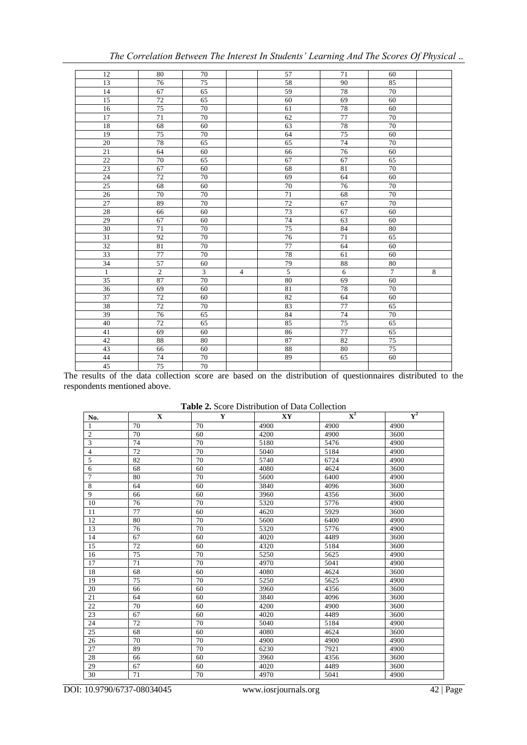| 12              | 80              | 70             |                | 57             | 71             | 60              |   |
|-----------------|-----------------|----------------|----------------|----------------|----------------|-----------------|---|
| 13              | $\overline{76}$ | 75             |                | 58             | 90             | 85              |   |
| 14              | 67              | 65             |                | 59             | 78             | 70              |   |
| 15              | 72              | 65             |                | 60             | 69             | 60              |   |
| 16              | 75              | $70\,$         |                | 61             | 78             | 60              |   |
| 17              | 71              | 70             |                | 62             | 77             | 70              |   |
| 18              | 68              | 60             |                | 63             | 78             | 70              |   |
| 19              | $\overline{75}$ | 70             |                | 64             | 75             | 60              |   |
| $20\,$          | 78              | 65             |                | 65             | 74             | 70              |   |
| $\overline{21}$ | 64              | 60             |                | 66             | 76             | 60              |   |
| $22\,$          | $70\,$          | 65             |                | 67             | 67             | 65              |   |
| 23              | 67              | 60             |                | 68             | 81             | $70\,$          |   |
| 24              | 72              | $70\,$         |                | 69             | 64             | 60              |   |
| 25              | 68              | 60             |                | 70             | 76             | 70              |   |
| $26\,$          | 70              | 70             |                | 71             | 68             | $70\,$          |   |
| 27              | 89              | $70\,$         |                | 72             | 67             | $70\,$          |   |
| 28              | 66              | 60             |                | 73             | 67             | 60              |   |
| 29              | 67              | 60             |                | 74             | 63             | 60              |   |
| $\overline{30}$ | $\overline{71}$ | 70             |                | 75             | 84             | 80              |   |
| 31              | 92              | 70             |                | $76\,$         | 71             | 65              |   |
| 32              | 81              | $70\,$         |                | 77             | 64             | 60              |   |
| 33              | $77 \,$         | 70             |                | 78             | 61             | 60              |   |
| $\overline{34}$ | 57              | 60             |                | $\frac{79}{5}$ | $88\,$         | $80\,$          |   |
| $\overline{1}$  | $\overline{2}$  | $\overline{3}$ | $\overline{4}$ |                | $\overline{6}$ | $\overline{7}$  | 8 |
| $\overline{35}$ | 87              | 70             |                | 80             | 69             | 60              |   |
| 36              | 69              | 60             |                | 81             | 78             | 70              |   |
| 37              | $\overline{72}$ | 60             |                | 82             | 64             | 60              |   |
| 38              | $72\,$          | 70             |                | 83             | 77             | 65              |   |
| 39              | 76              | 65             |                | 84             | 74             | 70              |   |
| 40              | 72              | 65             |                | 85             | 75             | 65              |   |
| 41              | 69              | 60             |                | 86             | 77             | 65              |   |
| 42              | 88              | 80             |                | 87             | 82             | $\overline{75}$ |   |
| 43              | 66              | 60             |                | 88             | 80             | 75              |   |
| 44              | 74              | 70             |                | 89             | 65             | 60              |   |
| 45              | 75              | 70             |                |                |                |                 |   |

*The Correlation Between The Interest In Students' Learning And The Scores Of Physical ..*

The results of the data collection score are based on the distribution of questionnaires distributed to the respondents mentioned above.

| <b>Table 2.</b> Score Distribution of Data Collection |  |
|-------------------------------------------------------|--|
|-------------------------------------------------------|--|

| No.            | $\mathbf X$ | Y  | $\mathbf{X}\mathbf{Y}$ | ${\bf X}^2$ | $\mathbf{V}^2$ |
|----------------|-------------|----|------------------------|-------------|----------------|
| 1              | 70          | 70 | 4900                   | 4900        | 4900           |
| $\overline{c}$ | 70          | 60 | 4200                   | 4900        | 3600           |
| 3              | 74          | 70 | 5180                   | 5476        | 4900           |
| $\overline{4}$ | 72          | 70 | 5040                   | 5184        | 4900           |
| $\sqrt{5}$     | 82          | 70 | 5740                   | 6724        | 4900           |
| $\overline{6}$ | 68          | 60 | 4080                   | 4624        | 3600           |
| $\overline{7}$ | 80          | 70 | 5600                   | 6400        | 4900           |
| $\overline{8}$ | 64          | 60 | 3840                   | 4096        | 3600           |
| 9              | 66          | 60 | 3960                   | 4356        | 3600           |
| 10             | 76          | 70 | 5320                   | 5776        | 4900           |
| 11             | 77          | 60 | 4620                   | 5929        | 3600           |
| 12             | 80          | 70 | 5600                   | 6400        | 4900           |
| 13             | 76          | 70 | 5320                   | 5776        | 4900           |
| 14             | 67          | 60 | 4020                   | 4489        | 3600           |
| 15             | 72          | 60 | 4320                   | 5184        | 3600           |
| 16             | 75          | 70 | 5250                   | 5625        | 4900           |
| 17             | 71          | 70 | 4970                   | 5041        | 4900           |
| 18             | 68          | 60 | 4080                   | 4624        | 3600           |
| 19             | 75          | 70 | 5250                   | 5625        | 4900           |
| 20             | 66          | 60 | 3960                   | 4356        | 3600           |
| 21             | 64          | 60 | 3840                   | 4096        | 3600           |
| 22             | 70          | 60 | 4200                   | 4900        | 3600           |
| 23             | 67          | 60 | 4020                   | 4489        | 3600           |
| 24             | 72          | 70 | 5040                   | 5184        | 4900           |
| 25             | 68          | 60 | 4080                   | 4624        | 3600           |
| 26             | 70          | 70 | 4900                   | 4900        | 4900           |
| 27             | 89          | 70 | 6230                   | 7921        | 4900           |
| 28             | 66          | 60 | 3960                   | 4356        | 3600           |
| 29             | 67          | 60 | 4020                   | 4489        | 3600           |
| 30             | 71          | 70 | 4970                   | 5041        | 4900           |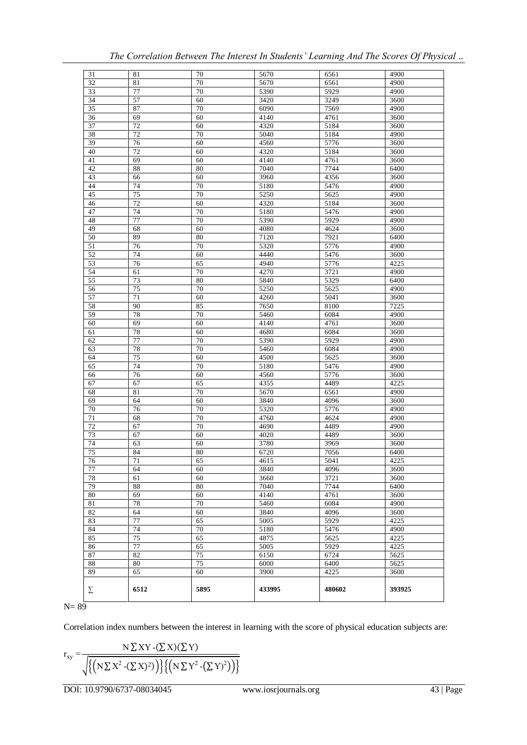| 31              | 81              | 70       | 5670         | 6561         | 4900         |
|-----------------|-----------------|----------|--------------|--------------|--------------|
| 32              | 81              | 70       | 5670         | 6561         | 4900         |
| 33              | 77              | 70       | 5390         | 5929         | 4900         |
| 34              | 57              | 60       | 3420         | 3249         | 3600         |
| 35              | 87              | 70       | 6090         | 7569         | 4900         |
| 36              | 69              | 60       | 4140         | 4761         | 3600         |
| 37              | 72              | 60       | 4320         | 5184         | 3600         |
| 38              | $\overline{72}$ | 70       | 5040         | 5184         | 4900         |
| 39              | 76              | 60       | 4560         | 5776         | 3600         |
| 40              | 72              | 60       | 4320         | 5184         | 3600         |
| 41              | 69              | 60       | 4140         | 4761         | 3600         |
| 42              | 88              | 80       | 7040         | 7744         | 6400         |
| 43              | 66              | 60       | 3960         | 4356         | 3600         |
| 44              | 74              | 70       | 5180         | 5476         | 4900         |
| 45              | 75              | 70       | 5250         | 5625         | 4900         |
| 46              | 72              | 60       | 4320         | 5184         | 3600         |
| 47              | 74              | 70       | 5180         | 5476         | 4900         |
| 48              | 77              | 70       | 5390         | 5929         | 4900         |
| 49              | 68              | 60       | 4080         | 4624         | 3600         |
| 50              | 89              | 80       | 7120         | 7921         | 6400         |
| 51              | 76              | 70       | 5320         | 5776         | 4900         |
| 52              | 74              | 60       | 4440         | 5476         | 3600         |
| 53              | 76              | 65       | 4940         | 5776         | 4225         |
| 54              | 61              | 70       | 4270         | 3721         | 4900         |
| $\overline{55}$ | 73              | 80       | 5840         | 5329         | 6400         |
| 56              | 75              | 70       | 5250         | 5625         | 4900         |
| 57              | 71              | 60       | 4260         | 5041         | 3600         |
| 58              | 90              | 85       | 7650         | 8100         | 7225         |
| 59              | 78              | 70       | 5460         | 6084         | 4900         |
| 60              | 69              | 60       | 4140         | 4761         | 3600         |
| 61              | 78              | 60       | 4680         | 6084         | 3600         |
| 62              | 77              | 70       | 5390         | 5929         | 4900         |
| 63              | 78              | 70       | 5460         | 6084         | 4900         |
| 64              | 75              | 60       | 4500         | 5625         | 3600         |
| 65              | 74              | 70       | 5180         | 5476         | 4900         |
| 66              | 76              | 60       | 4560         | 5776         | 3600         |
| 67              | 67              | 65       | 4355         | 4489         | 4225         |
| 68              | 81              | 70       | 5670         | 6561         | 4900         |
| 69              | 64              | 60       | 3840         | 4096         | 3600         |
| 70              | 76              | 70       | 5320         | 5776         | 4900         |
| 71              | 68              | 70       | 4760         | 4624         | 4900         |
| $\overline{72}$ | 67              | 70       | 4690         | 4489         | 4900         |
| 73              | 67              | 60       | 4020         | 4489         | 3600         |
| 74              | 63              | 60       | 3780         | 3969         | 3600         |
| $\overline{75}$ | 84              | 80       | 6720         | 7056         | 6400         |
| 76              | 71              | 65       | 4615         | 5041         | 4225         |
| 77              | 64              | 60       | 3840         | 4096         | 3600         |
| 78              | 61              | 60       | 3660         | 3721         | 3600         |
| 79              | 88              | 80       | 7040         | 7744         | 6400         |
| 80              | 69              | 60       | 4140         | 4761         | 3600         |
| 81              | 78              | 70       | 5460         | 6084         | 4900         |
| 82              | 64<br>77        | 60<br>65 | 3840         | 4096<br>5929 | 3600<br>4225 |
| 83<br>84        | 74              | 70       | 5005<br>5180 | 5476         | 4900         |
| 85              | 75              | 65       | 4875         | 5625         | 4225         |
| 86              | 77              | 65       | 5005         | 5929         | 4225         |
| 87              | 82              | 75       | 6150         | 6724         | 5625         |
| 88              | 80              | 75       | 6000         | 6400         | 5625         |
| 89              | 65              | 60       | 3900         | 4225         | 3600         |
|                 |                 |          |              |              |              |
| Σ               | 6512            | 5895     | 433995       | 480602       | 393925       |

| The Correlation Between The Interest In Students' Learning And The Scores Of Physical |  |  |  |  |
|---------------------------------------------------------------------------------------|--|--|--|--|
|                                                                                       |  |  |  |  |

 $N= 89$ 

Correlation index numbers between the interest in learning with the score of physical education subjects are:

$$
r_{xy} = \frac{N \sum XY - (\sum X)(\sum Y)}{\sqrt{\left\{ \left( N \sum X^2 - (\sum X)^2 \right) \right\} \left\{ \left( N \sum Y^2 - (\sum Y)^2 \right) \right\}}}
$$

DOI: 10.9790/6737-08034045 www.iosrjournals.org 43 | Page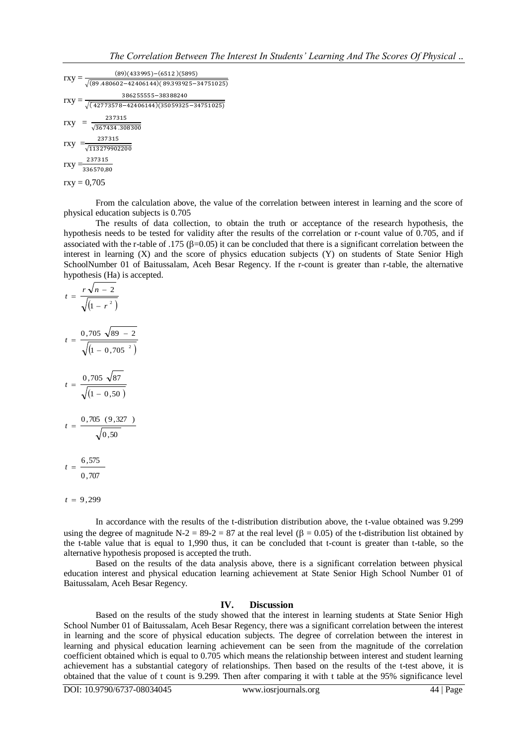$rxy = \frac{1}{\sqrt{2}}$  $(89)(433995) - (6512)(5895)$  $rxy = \frac{1}{\sqrt{2}}$ 386255555-38388240  $rxy = \frac{1}{\sqrt{2}}$ 237315  $rxy =$ 237315  $\sqrt{113279902200}$  $rxy = \frac{1}{3}$ 237315  $rxy = 0,705$ 

From the calculation above, the value of the correlation between interest in learning and the score of physical education subjects is 0.705

The results of data collection, to obtain the truth or acceptance of the research hypothesis, the hypothesis needs to be tested for validity after the results of the correlation or r-count value of 0.705, and if associated with the r-table of .175 ( $\beta$ =0.05) it can be concluded that there is a significant correlation between the interest in learning (X) and the score of physics education subjects (Y) on students of State Senior High SchoolNumber 01 of Baitussalam, Aceh Besar Regency. If the r-count is greater than r-table, the alternative hypothesis (Ha) is accepted.

$$
t = \frac{r\sqrt{n - 2}}{\sqrt{(1 - r^{2})}}
$$
  
\n
$$
t = \frac{0,705\sqrt{89 - 2}}{\sqrt{(1 - 0,705^{2})}}
$$
  
\n
$$
t = \frac{0,705\sqrt{87}}{\sqrt{(1 - 0,50)}}
$$
  
\n
$$
t = \frac{0,705(9,327)}{\sqrt{0,50}}
$$
  
\n
$$
t = \frac{6,575}{0,707}
$$

 $t = 9,299$ 

In accordance with the results of the t-distribution distribution above, the t-value obtained was 9.299 using the degree of magnitude N-2 = 89-2 = 87 at the real level ( $\beta$  = 0.05) of the t-distribution list obtained by the t-table value that is equal to 1,990 thus, it can be concluded that t-count is greater than t-table, so the alternative hypothesis proposed is accepted the truth.

Based on the results of the data analysis above, there is a significant correlation between physical education interest and physical education learning achievement at State Senior High School Number 01 of Baitussalam, Aceh Besar Regency.

### **IV. Discussion**

Based on the results of the study showed that the interest in learning students at State Senior High School Number 01 of Baitussalam, Aceh Besar Regency, there was a significant correlation between the interest in learning and the score of physical education subjects. The degree of correlation between the interest in learning and physical education learning achievement can be seen from the magnitude of the correlation coefficient obtained which is equal to 0.705 which means the relationship between interest and student learning achievement has a substantial category of relationships. Then based on the results of the t-test above, it is obtained that the value of t count is 9.299. Then after comparing it with t table at the 95% significance level